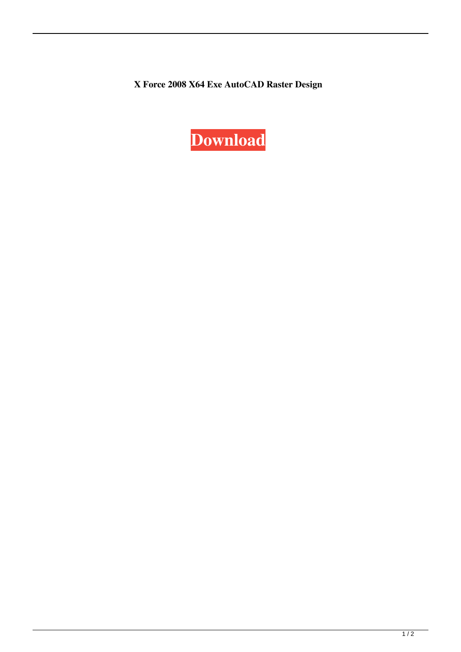**X Force 2008 X64 Exe AutoCAD Raster Design**